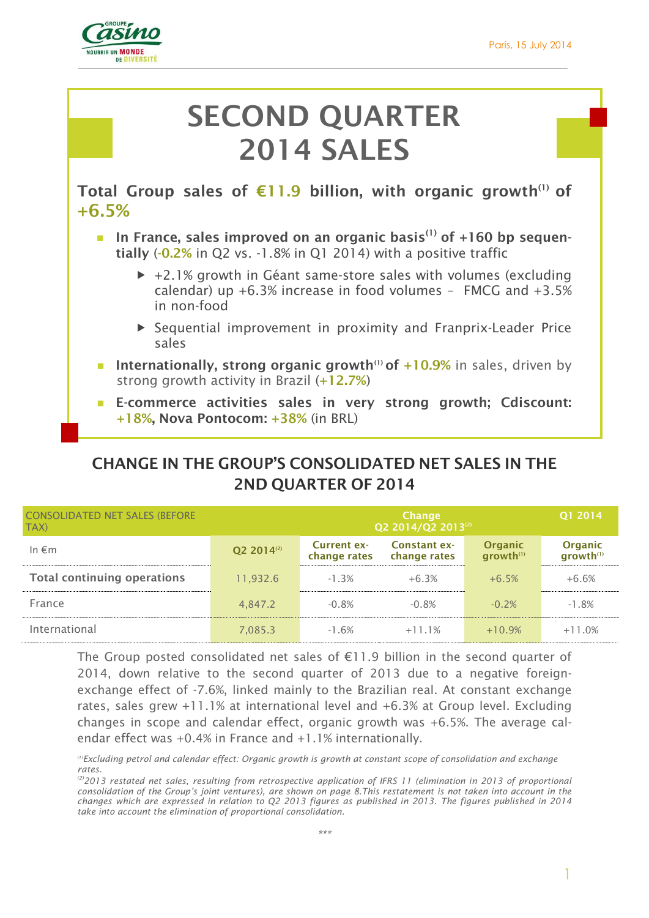1



# **SECOND QUARTER 2014 SALES**

**Total Group sales of €11.9 billion, with organic growth(1) of +6.5%**

- In France, sales improved on an organic basis<sup>(1)</sup> of +160 bp sequen**tially** (**-0.2%** in Q2 vs. -1.8% in Q1 2014) with a positive traffic
	- $\rightarrow$  +2.1% growth in Géant same-store sales with volumes (excluding calendar) up +6.3% increase in food volumes – FMCG and +3.5% in non-food
	- Sequential improvement in proximity and Franprix-Leader Price sales
- **Internationally, strong organic growth<sup>(1)</sup> of +10.9%** in sales, driven by strong growth activity in Brazil (**+12.7%**)
- **E-commerce activities sales in very strong growth; Cdiscount: +18%, Nova Pontocom: +38%** (in BRL)

# **CHANGE IN THE GROUP'S CONSOLIDATED NET SALES IN THE 2ND QUARTER OF 2014**

| <b>CONSOLIDATED NET SALES (BEFORE</b><br>TAX) |                        |                             | <b>Change</b><br>Q2 2014/Q2 2013 <sup>(2)</sup> |                                         | Q1 2014                                 |
|-----------------------------------------------|------------------------|-----------------------------|-------------------------------------------------|-----------------------------------------|-----------------------------------------|
| In $\epsilon$ m                               | Q2 2014 <sup>(2)</sup> | Current ex-<br>change rates | <b>Constant ex-</b><br>change rates             | <b>Organic</b><br>growth <sup>(1)</sup> | <b>Organic</b><br>growth <sup>(1)</sup> |
| <b>Total continuing operations</b>            | 11.932.6               | $-1.3%$                     | $+6.3%$                                         | $+6.5%$                                 | $+6.6%$                                 |
| France                                        | 4,847.2                | $-0.8%$                     | $-0.8%$                                         | $-0.2%$                                 | $-1.8%$                                 |
| International                                 | 7,085.3                | $-1.6%$                     | $+11.1%$                                        | $+10.9%$                                | $+11.0%$                                |

The Group posted consolidated net sales of  $E11.9$  billion in the second quarter of 2014, down relative to the second quarter of 2013 due to a negative foreignexchange effect of -7.6%, linked mainly to the Brazilian real. At constant exchange rates, sales grew +11.1% at international level and +6.3% at Group level. Excluding changes in scope and calendar effect, organic growth was +6.5%. The average calendar effect was +0.4% in France and +1.1% internationally.

*<sup>(1)</sup>Excluding petrol and calendar effect: Organic growth is growth at constant scope of consolidation and exchange rates.*

*<sup>(2)</sup>2013 restated net sales, resulting from retrospective application of IFRS 11 (elimination in 2013 of proportional consolidation of the Group's joint ventures), are shown on page 8.This restatement is not taken into account in the changes which are expressed in relation to Q2 2013 figures as published in 2013. The figures published in 2014 take into account the elimination of proportional consolidation.*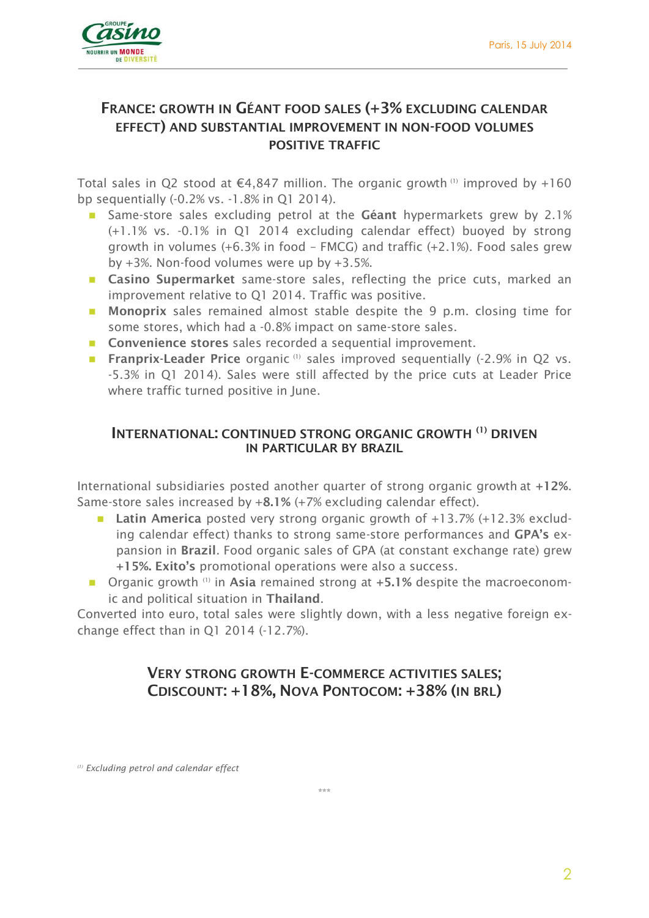

## **FRANCE: GROWTH IN GÉANT FOOD SALES (+3% EXCLUDING CALENDAR EFFECT) AND SUBSTANTIAL IMPROVEMENT IN NON-FOOD VOLUMES POSITIVE TRAFFIC**

Total sales in Q2 stood at  $\epsilon$ 4,847 million. The organic growth (1) improved by +160 bp sequentially (-0.2% vs. -1.8% in Q1 2014).

- Same-store sales excluding petrol at the **Géant** hypermarkets grew by 2.1% (+1.1% vs. -0.1% in Q1 2014 excluding calendar effect) buoyed by strong growth in volumes (+6.3% in food – FMCG) and traffic (+2.1%). Food sales grew by +3%. Non-food volumes were up by +3.5%.
- **Casino Supermarket** same-store sales, reflecting the price cuts, marked an improvement relative to Q1 2014. Traffic was positive.
- **Monoprix** sales remained almost stable despite the 9 p.m. closing time for some stores, which had a -0.8% impact on same-store sales.
- **Convenience stores** sales recorded a sequential improvement.
- **Franprix-Leader Price** organic<sup>(1)</sup> sales improved sequentially (-2.9% in Q2 vs. -5.3% in Q1 2014). Sales were still affected by the price cuts at Leader Price where traffic turned positive in lune.

#### **INTERNATIONAL: CONTINUED STRONG ORGANIC GROWTH (1) DRIVEN IN PARTICULAR BY BRAZIL**

International subsidiaries posted another quarter of strong organic growth at **+12%**. Same-store sales increased by +**8.1%** (+7% excluding calendar effect).

- Latin America posted very strong organic growth of +13.7% (+12.3% excluding calendar effect) thanks to strong same-store performances and **GPA's** expansion in **Brazil**. Food organic sales of GPA (at constant exchange rate) grew **+15%. Exito's** promotional operations were also a success.
- Organic growth <sup>(1)</sup> in Asia remained strong at +5.1% despite the macroeconomic and political situation in **Thailand**.

Converted into euro, total sales were slightly down, with a less negative foreign exchange effect than in Q1 2014 (-12.7%).

## **VERY STRONG GROWTH E-COMMERCE ACTIVITIES SALES; CDISCOUNT: +18%, NOVA PONTOCOM: +38% (IN BRL)**

\*\*\*

*(1) Excluding petrol and calendar effect*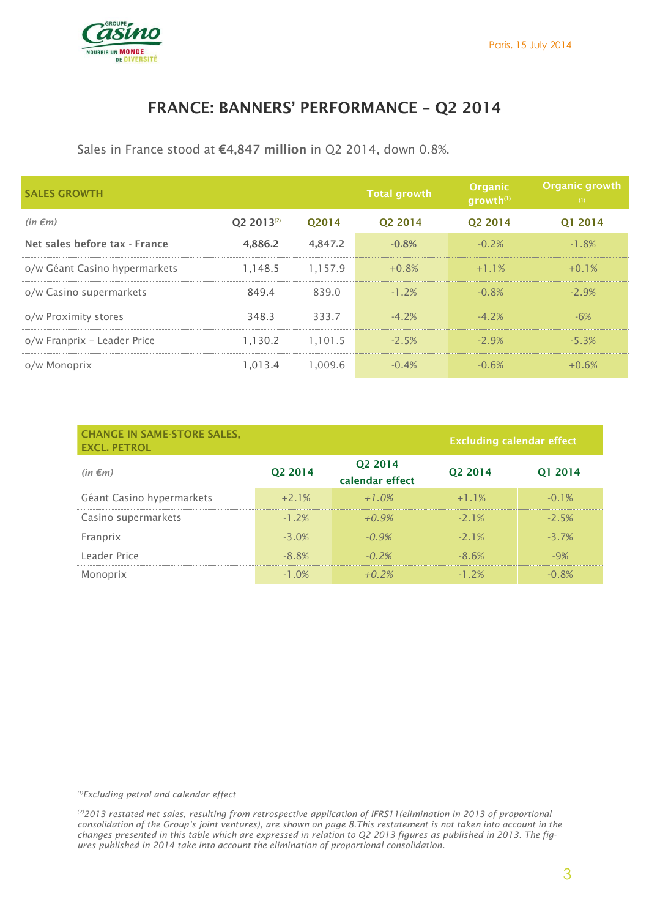

## **FRANCE: BANNERS' PERFORMANCE – Q2 2014**

Sales in France stood at **€4,847 million** in Q2 2014, down 0.8%.

| <b>SALES GROWTH</b>           |                        |         | <b>Total growth</b> | Organic<br>growth <sup>(1)</sup> | Organic growth<br>(1) |
|-------------------------------|------------------------|---------|---------------------|----------------------------------|-----------------------|
| $(in \in m)$                  | O2 2013 <sup>(2)</sup> | O2014   | O <sub>2</sub> 2014 | O <sub>2</sub> 2014              | Q1 2014               |
| Net sales before tax - France | 4,886.2                | 4,847.2 | $-0.8%$             | $-0.2%$                          | $-1.8%$               |
| o/w Géant Casino hypermarkets | 1,148.5                | 1.157.9 | $+0.8%$             | $+1.1%$                          | $+0.1%$               |
| o/w Casino supermarkets       | 849.4                  | 839.0   | $-1.2%$             | $-0.8%$                          | $-2.9%$               |
| o/w Proximity stores          | 348.3                  | 333.7   | $-4.2%$             | $-4.2%$                          | $-6%$                 |
| o/w Franprix - Leader Price   | 1,130.2                | 1,101.5 | $-2.5%$             | $-2.9%$                          | $-5.3%$               |
| o/w Monoprix                  | 1,013.4                | 1,009.6 | $-0.4%$             | $-0.6%$                          | $+0.6%$               |

| <b>CHANGE IN SAME-STORE SALES,</b><br><b>EXCL. PETROL</b> |           |                            | <b>Excluding calendar effect</b> |           |
|-----------------------------------------------------------|-----------|----------------------------|----------------------------------|-----------|
| $(in \in m)$                                              | Q2 2014   | Q2 2014<br>calendar effect | Q2 2014                          | Q1 2014   |
| Géant Casino hypermarkets                                 | $+2.1%$   | $+1.0\%$                   | $+1.1%$                          | $-0.1%$   |
| Casino supermarkets                                       | $-1, 2\%$ | $+0.9\%$                   | $-21\%$                          | $-2.5%$   |
| Franprix                                                  | $-3.0\%$  | $-0.9\%$                   | $-21\%$                          | $-3, 7\%$ |
| Leader Price                                              | $-8.8\%$  | $-0.2\%$                   | $-8.6%$                          | $-9%$     |
| Monoprix                                                  | $-1.0\%$  | $+0.2\%$                   | $-1, 2\%$                        | $-0.8%$   |

*(1)Excluding petrol and calendar effect*

*(2)2013 restated net sales, resulting from retrospective application of IFRS11(elimination in 2013 of proportional consolidation of the Group's joint ventures), are shown on page 8.This restatement is not taken into account in the changes presented in this table which are expressed in relation to Q2 2013 figures as published in 2013. The figures published in 2014 take into account the elimination of proportional consolidation.*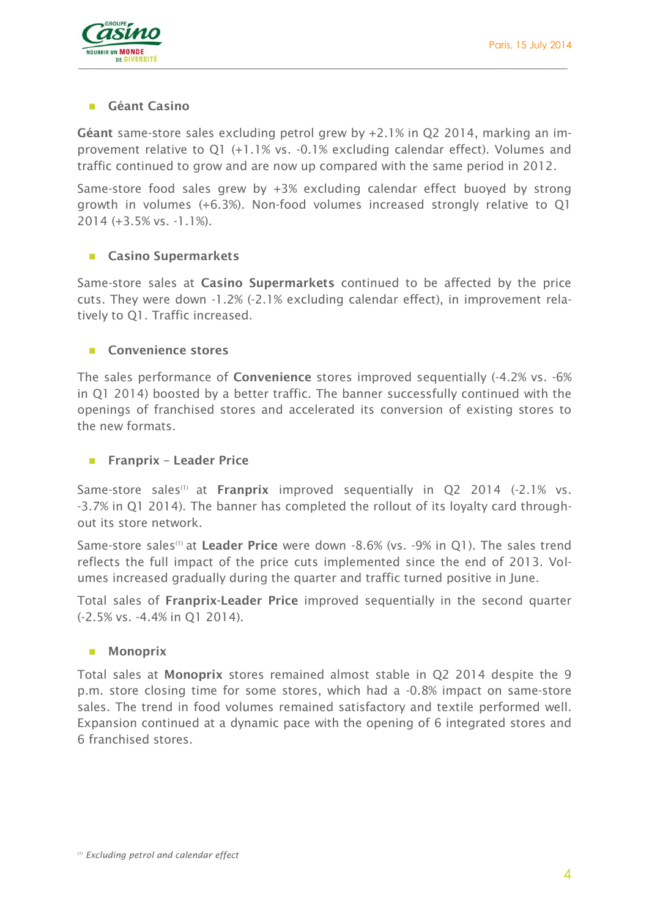

#### **Géant Casino**

**Géant** same-store sales excluding petrol grew by +2.1% in Q2 2014, marking an improvement relative to Q1 (+1.1% vs. -0.1% excluding calendar effect). Volumes and traffic continued to grow and are now up compared with the same period in 2012.

Same-store food sales grew by +3% excluding calendar effect buoyed by strong growth in volumes (+6.3%). Non-food volumes increased strongly relative to Q1 2014 (+3.5% vs. -1.1%).

#### **Casino Supermarkets**

Same-store sales at **Casino Supermarkets** continued to be affected by the price cuts. They were down -1.2% (-2.1% excluding calendar effect), in improvement relatively to Q1. Traffic increased.

#### **Convenience stores**

The sales performance of **Convenience** stores improved sequentially (-4.2% vs. -6% in Q1 2014) boosted by a better traffic. The banner successfully continued with the openings of franchised stores and accelerated its conversion of existing stores to the new formats.

#### **Franprix – Leader Price**

Same-store sales<sup>(1)</sup> at **Franprix** improved sequentially in Q2 2014 (-2.1% vs. -3.7% in Q1 2014). The banner has completed the rollout of its loyalty card throughout its store network.

Same-store sales<sup>(1)</sup> at Leader Price were down -8.6% (vs. -9% in Q1). The sales trend reflects the full impact of the price cuts implemented since the end of 2013. Volumes increased gradually during the quarter and traffic turned positive in June.

Total sales of **Franprix-Leader Price** improved sequentially in the second quarter (-2.5% vs. -4.4% in Q1 2014).

#### **Monoprix**

Total sales at **Monoprix** stores remained almost stable in Q2 2014 despite the 9 p.m. store closing time for some stores, which had a -0.8% impact on same-store sales. The trend in food volumes remained satisfactory and textile performed well. Expansion continued at a dynamic pace with the opening of 6 integrated stores and 6 franchised stores.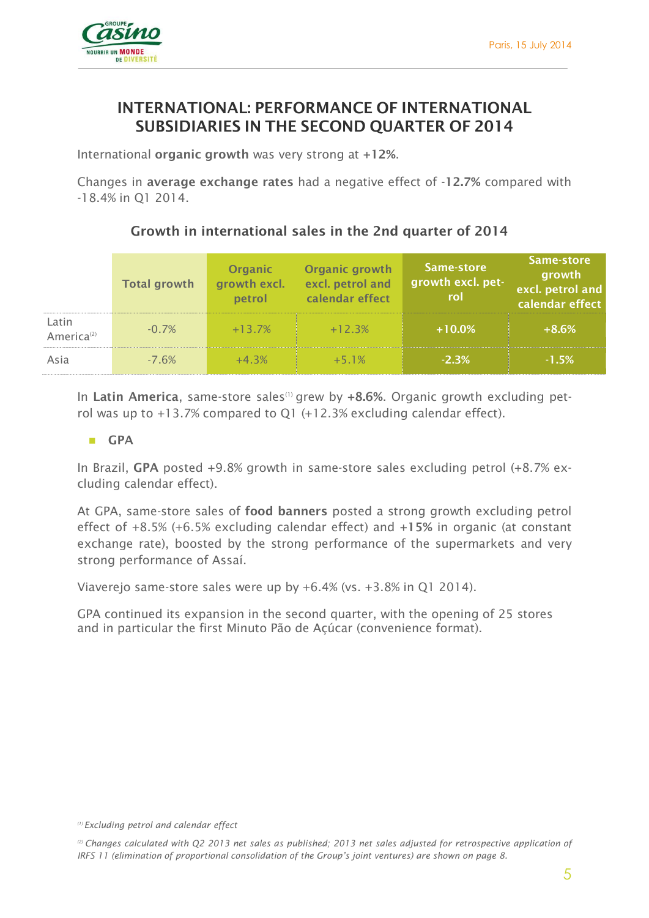

## **INTERNATIONAL: PERFORMANCE OF INTERNATIONAL SUBSIDIARIES IN THE SECOND QUARTER OF 2014**

International **organic growth** was very strong at **+12%**.

Changes in **average exchange rates** had a negative effect of **-12.7%** compared with -18.4% in Q1 2014.

### **Growth in international sales in the 2nd quarter of 2014**

|                                 | <b>Total growth</b> | <b>Organic</b><br>growth excl.<br>petrol | Organic growth<br>excl. petrol and<br>calendar effect | Same-store<br>growth excl. pet-<br>rol | Same-store<br>growth<br>excl. petrol and<br>calendar effect |
|---------------------------------|---------------------|------------------------------------------|-------------------------------------------------------|----------------------------------------|-------------------------------------------------------------|
| Latin<br>America <sup>(2)</sup> | $-0.7%$             | $+13.7%$                                 | $+12.3%$                                              | $+10.0\%$                              | $+8.6%$                                                     |
| Asia                            | $-7.6\%$            | $+4.3%$                                  | $+5.1%$                                               | $-2.3%$                                | $-1.5%$                                                     |

In Latin America, same-store sales<sup>(1)</sup> grew by +8.6%. Organic growth excluding petrol was up to +13.7% compared to Q1 (+12.3% excluding calendar effect).

#### **GPA**

In Brazil, **GPA** posted +9.8% growth in same-store sales excluding petrol (+8.7% excluding calendar effect).

At GPA, same-store sales of **food banners** posted a strong growth excluding petrol effect of +8.5% (+6.5% excluding calendar effect) and **+15%** in organic (at constant exchange rate), boosted by the strong performance of the supermarkets and very strong performance of Assaí.

Viaverejo same-store sales were up by +6.4% (vs. +3.8% in Q1 2014).

GPA continued its expansion in the second quarter, with the opening of 25 stores and in particular the first Minuto Pão de Açúcar (convenience format).

*<sup>(1)</sup> Excluding petrol and calendar effect*

*<sup>(2)</sup> Changes calculated with Q2 2013 net sales as published; 2013 net sales adjusted for retrospective application of IRFS 11 (elimination of proportional consolidation of the Group's joint ventures) are shown on page 8.*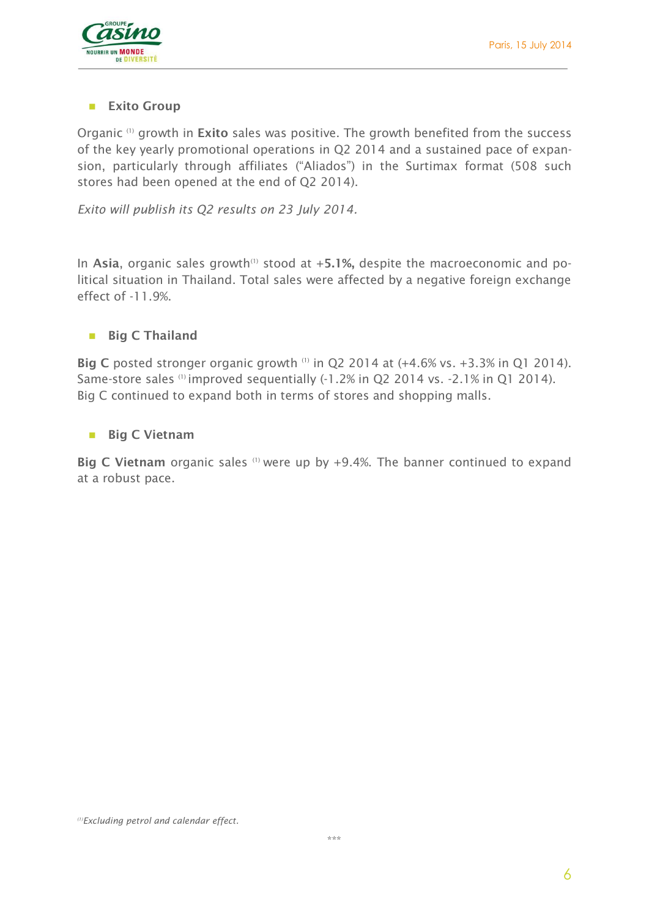

#### **Exito Group**

Organic (1) growth in **Exito** sales was positive. The growth benefited from the success of the key yearly promotional operations in Q2 2014 and a sustained pace of expansion, particularly through affiliates ("Aliados") in the Surtimax format (508 such stores had been opened at the end of Q2 2014).

*Exito will publish its Q2 results on 23 July 2014.*

In Asia, organic sales growth<sup>(1)</sup> stood at +5.1%, despite the macroeconomic and political situation in Thailand. Total sales were affected by a negative foreign exchange effect of -11.9%.

#### **Big C Thailand**

**Big C** posted stronger organic growth <sup>(1)</sup> in Q2 2014 at (+4.6% vs. +3.3% in Q1 2014). Same-store sales (1) improved sequentially (-1.2% in Q2 2014 vs. -2.1% in Q1 2014). Big C continued to expand both in terms of stores and shopping malls.

#### **Big C Vietnam**

**Big C Vietnam** organic sales (1) were up by +9.4%. The banner continued to expand at a robust pace.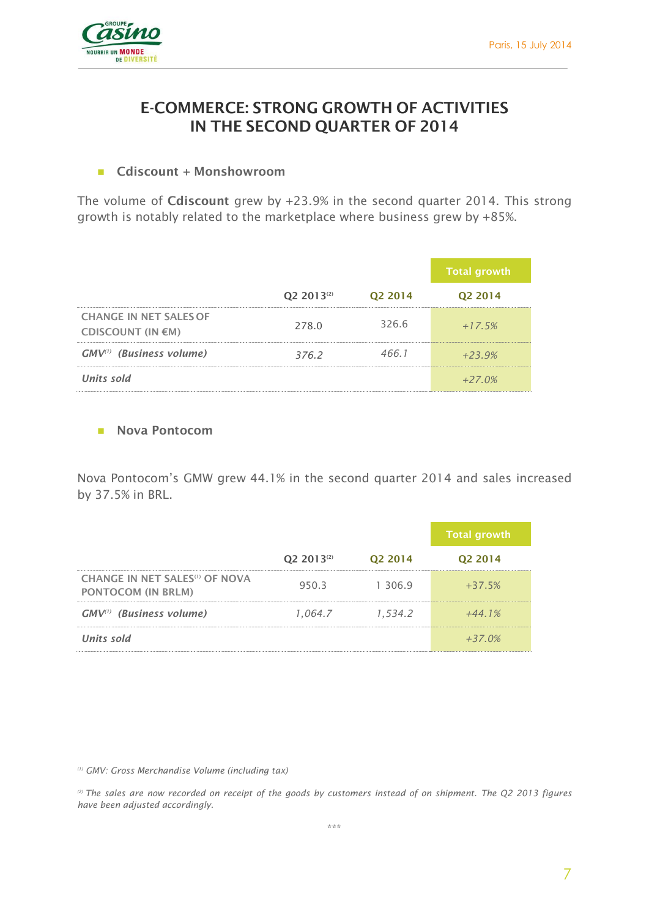

## **E-COMMERCE: STRONG GROWTH OF ACTIVITIES IN THE SECOND QUARTER OF 2014**

#### **Cdiscount + Monshowroom**

The volume of **Cdiscount** grew by +23.9% in the second quarter 2014. This strong growth is notably related to the marketplace where business grew by +85%.

|                                                    |                        |         | <b>Total growth</b> |
|----------------------------------------------------|------------------------|---------|---------------------|
|                                                    | Q2 2013 <sup>(2)</sup> | Q2 2014 | Q2 2014             |
| <b>CHANGE IN NET SALES OF</b><br>CDISCOUNT (IN €M) | 278.0                  | 326.6   | $+17.5%$            |
| GMV <sup>(1)</sup> (Business volume)               | 376.2                  | 466.1   | $+23.9%$            |
| Units sold                                         |                        |         | $+27.0%$            |

#### **Nova Pontocom**

Nova Pontocom's GMW grew 44.1% in the second quarter 2014 and sales increased by 37.5% in BRL.

|                                                                         |                        |                     | <b>Total growth</b> |
|-------------------------------------------------------------------------|------------------------|---------------------|---------------------|
|                                                                         | Q2 2013 <sup>(2)</sup> | Q <sub>2</sub> 2014 | Q <sub>2</sub> 2014 |
| CHANGE IN NET SALES <sup>(1)</sup> OF NOVA<br><b>PONTOCOM (IN BRLM)</b> | 950.3                  | 1 306.9             | $+37.5%$            |
| GMV <sup>(1)</sup> (Business volume)                                    | 1.064.7                | 1.534.2             | $+44.1%$            |
| Units sold                                                              |                        |                     | $+37.0%$            |

*(1) GMV: Gross Merchandise Volume (including tax)*

*(2) The sales are now recorded on receipt of the goods by customers instead of on shipment. The Q2 2013 figures have been adjusted accordingly.*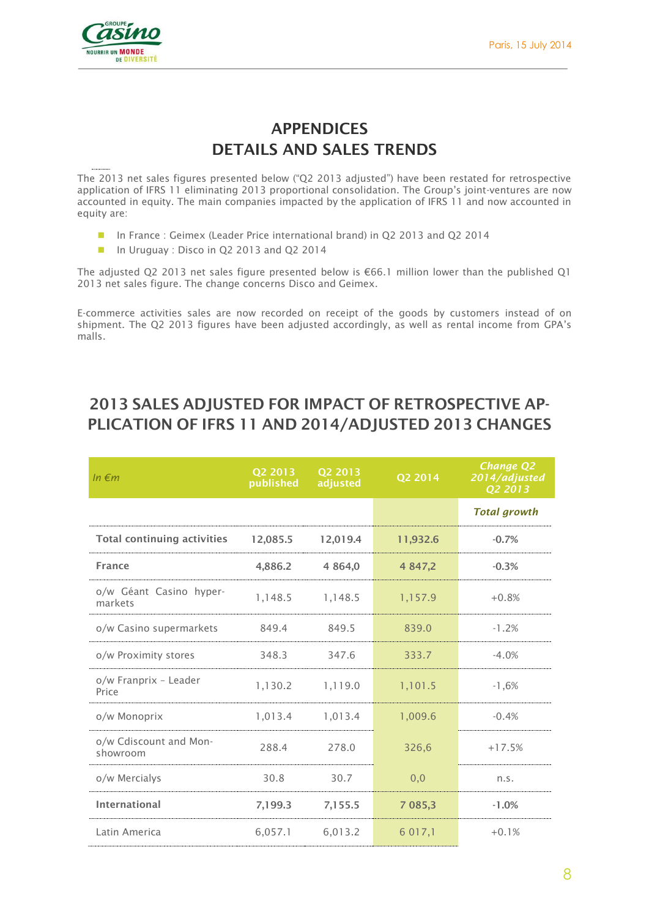

# **APPENDICES DETAILS AND SALES TRENDS**

The 2013 net sales figures presented below ("Q2 2013 adjusted") have been restated for retrospective application of IFRS 11 eliminating 2013 proportional consolidation. The Group's joint-ventures are now accounted in equity. The main companies impacted by the application of IFRS 11 and now accounted in equity are:

- In France : Geimex (Leader Price international brand) in O2 2013 and O2 2014
- In Uruguay : Disco in Q2 2013 and Q2 2014

The adjusted O2 2013 net sales figure presented below is  $\epsilon$ 66.1 million lower than the published O1 2013 net sales figure. The change concerns Disco and Geimex.

E-commerce activities sales are now recorded on receipt of the goods by customers instead of on shipment. The Q2 2013 figures have been adjusted accordingly, as well as rental income from GPA's malls.

| In $\epsilon$ m                    | Q2 2013<br>published | Q2 2013<br>adjusted | Q2 2014    | <b>Change Q2</b><br>2014/adjusted<br>Q2 2013 |
|------------------------------------|----------------------|---------------------|------------|----------------------------------------------|
|                                    |                      |                     |            | <b>Total growth</b>                          |
| <b>Total continuing activities</b> | 12,085.5             | 12,019.4            | 11,932.6   | $-0.7%$                                      |
| <b>France</b>                      | 4,886.2              | 4 8 6 4 , 0         | 4 847,2    | $-0.3%$                                      |
| o/w Géant Casino hyper-<br>markets | 1,148.5              | 1,148.5             | 1,157.9    | $+0.8%$                                      |
| o/w Casino supermarkets            | 849.4                | 849.5               | 839.0      | $-1.2%$                                      |
| o/w Proximity stores               | 348.3                | 347.6               | 333.7      | $-4.0%$                                      |
| o/w Franprix - Leader<br>Price     | 1,130.2              | 1,119.0             | 1,101.5    | $-1,6%$                                      |
| o/w Monoprix                       | 1,013.4              | 1,013.4             | 1,009.6    | $-0.4%$                                      |
| o/w Cdiscount and Mon-<br>showroom | 288.4                | 278.0               | 326,6      | $+17.5%$                                     |
| o/w Mercialys                      | 30.8                 | 30.7                | 0,0        | n.s.                                         |
| <b>International</b>               | 7,199.3              | 7,155.5             | 7 085,3    | $-1.0%$                                      |
| Latin America                      | 6,057.1              | 6,013.2             | 6 0 1 7 .1 | $+0.1%$                                      |

## **2013 SALES ADJUSTED FOR IMPACT OF RETROSPECTIVE AP-PLICATION OF IFRS 11 AND 2014/ADJUSTED 2013 CHANGES**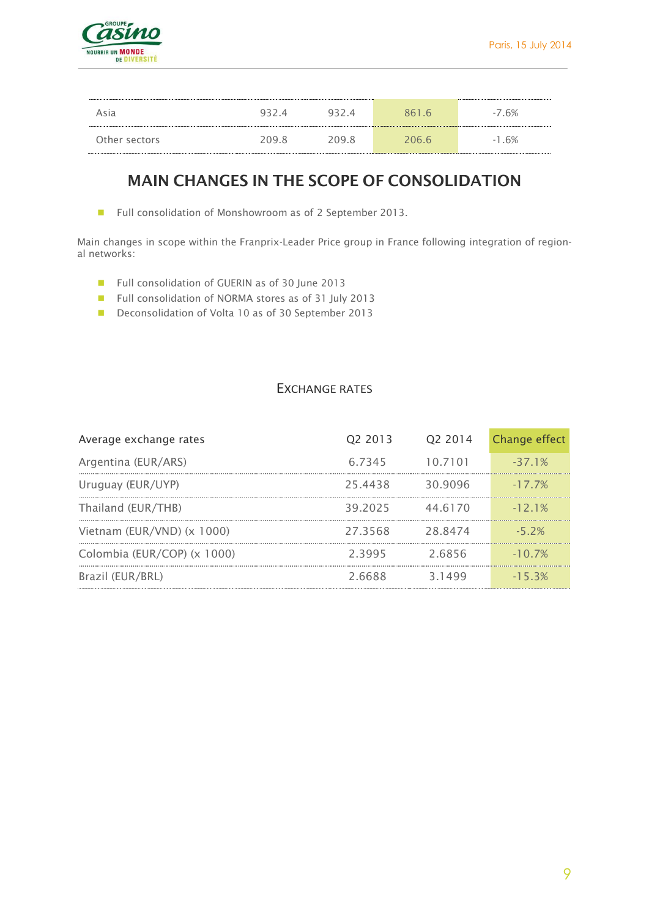

| Asia          | $U \prec U$ |       | 861 6 | $-7.6%$ |
|---------------|-------------|-------|-------|---------|
| Other sectors | 209 R       | ንበዓ ጸ | 206.6 | $-1.6%$ |

## **MAIN CHANGES IN THE SCOPE OF CONSOLIDATION**

■ Full consolidation of Monshowroom as of 2 September 2013.

Main changes in scope within the Franprix-Leader Price group in France following integration of regional networks:

- Full consolidation of GUERIN as of 30 June 2013
- Full consolidation of NORMA stores as of 31 July 2013
- Deconsolidation of Volta 10 as of 30 September 2013

#### EXCHANGE RATES

| Average exchange rates      | 02 2013 | 02 2014  | Change effect |
|-----------------------------|---------|----------|---------------|
| Argentina (EUR/ARS)         | 6.7345  | 10.7101  | $-371%$       |
| Uruguay (EUR/UYP)           | 25.4438 | 30.9096  | $-17.7\%$     |
| Thailand (EUR/THB)          | 39.2025 | 44 61 70 | $-121%$       |
| Vietnam (EUR/VND) (x 1000)  | 273568  | 288474   | $-5, 2\%$     |
| Colombia (EUR/COP) (x 1000) | 23995   | 26856    | $-10.7\%$     |
| Brazil (EUR/BRL)            | 2.6688  | 31499    | $-15.3%$      |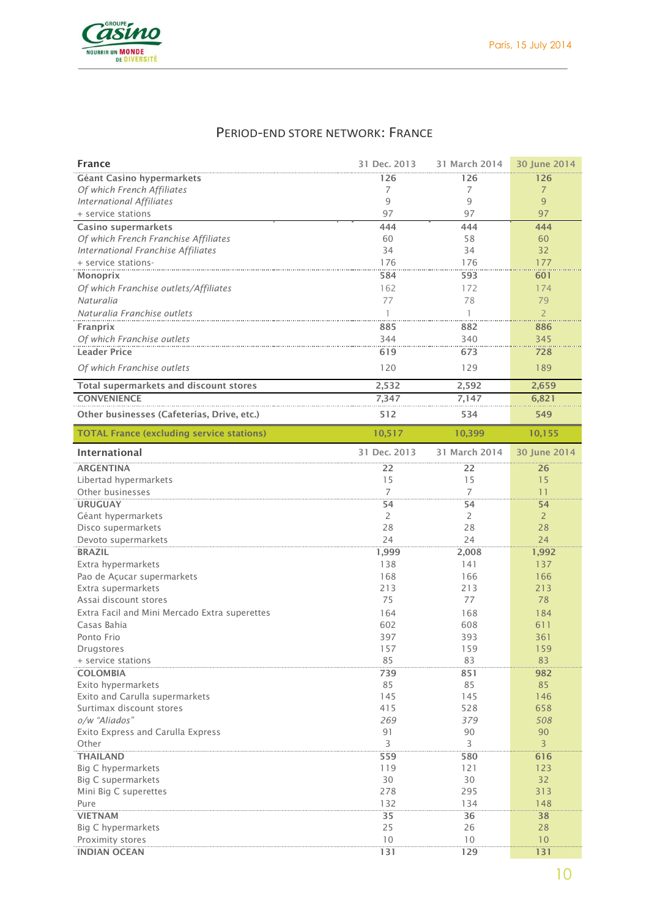

## PERIOD-END STORE NETWORK: FRANCE

| <b>France</b>                                    | 31 Dec. 2013 | 31 March 2014 | 30 June 2014    |
|--------------------------------------------------|--------------|---------------|-----------------|
| Géant Casino hypermarkets                        | 126          | 126           | 126             |
| Of which French Affiliates                       | 7            | 7             | $\overline{7}$  |
| <b>International Affiliates</b>                  | 9            | 9             | 9               |
| + service stations                               | 97           | 97            | 97              |
| Casino supermarkets                              | 444          | 444           | 444             |
| Of which French Franchise Affiliates             | 60           | 58            | 60              |
| International Franchise Affiliates               | 34           | 34            | 32              |
| + service stations-                              | 176          | 176           | 177             |
| Monoprix                                         | 584          | 593           | 601             |
| Of which Franchise outlets/Affiliates            | 162          | 172           | 174             |
| Naturalia                                        | 77           | 78            | 79              |
| Naturalia Franchise outlets                      | $\mathbf{1}$ | 1             | $\overline{2}$  |
| Franprix                                         | 885          | 882           | 886             |
| Of which Franchise outlets                       | 344          | 340           | 345             |
| <b>Leader Price</b>                              | 619          | 673           | 728             |
| Of which Franchise outlets                       | 120          | 129           | 189             |
| Total supermarkets and discount stores           | 2,532        | 2,592         | 2,659           |
| <b>CONVENIENCE</b>                               | 7,347        | 7,147         | 6,821           |
| Other businesses (Cafeterias, Drive, etc.)       | 512          | 534           | 549             |
| <b>TOTAL France (excluding service stations)</b> | 10,517       | 10,399        | 10,155          |
| International                                    | 31 Dec. 2013 | 31 March 2014 | 30 June 2014    |
| <b>ARGENTINA</b>                                 | 22           | 22            | 26              |
| Libertad hypermarkets                            | 15           | 15            | 15              |
| Other businesses                                 | 7            | 7             | 11              |
| <b>URUGUAY</b>                                   | 54           | 54            | 54              |
| Géant hypermarkets                               | 2            | 2             | $\overline{2}$  |
| Disco supermarkets                               | 28           | 28            | 28              |
| Devoto supermarkets                              | 24           | 24            | 24              |
| <b>BRAZIL</b>                                    | 1,999        | 2,008         | 1,992           |
| Extra hypermarkets                               | 138          | 141           | 137             |
| Pao de Açucar supermarkets                       | 168          | 166           | 166             |
| Extra supermarkets                               | 213          | 213           | 213             |
| Assai discount stores                            | 75           | 77            | 78              |
| Extra Facil and Mini Mercado Extra superettes    | 164          | 168           | 184             |
| Casas Bahia                                      | 602          | 608           | 611             |
| Ponto Frio                                       | 397<br>157   | 393<br>159    | 361<br>159      |
| Drugstores<br>+ service stations                 | 85           | 83            | 83              |
| <b>COLOMBIA</b>                                  | 739          | 851           | 982             |
| Exito hypermarkets                               | 85           | 85            | 85              |
| Exito and Carulla supermarkets                   | 145          | 145           | 146             |
| Surtimax discount stores                         | 415          | 528           | 658             |
| o/w "Aliados"                                    | 269          | 379           | 508             |
| Exito Express and Carulla Express                | 91           | 90            | 90              |
| Other                                            | 3            | 3             | $\overline{3}$  |
| <b>THAILAND</b>                                  | 559          | 580           | 616             |
| Big C hypermarkets                               | 119          | 121           | 123             |
| <b>Big C supermarkets</b>                        | 30           | 30            | 32 <sup>°</sup> |
| Mini Big C superettes                            | 278          | 295           | 313             |
| Pure                                             | 132          | 134           | 148             |
| <b>VIETNAM</b>                                   | 35           | 36            | 38              |
| Big C hypermarkets                               | 25           | 26            | 28              |
| Proximity stores                                 | 10           | 10            | 10              |
| <b>INDIAN OCEAN</b>                              | 131          | 129           | 131             |